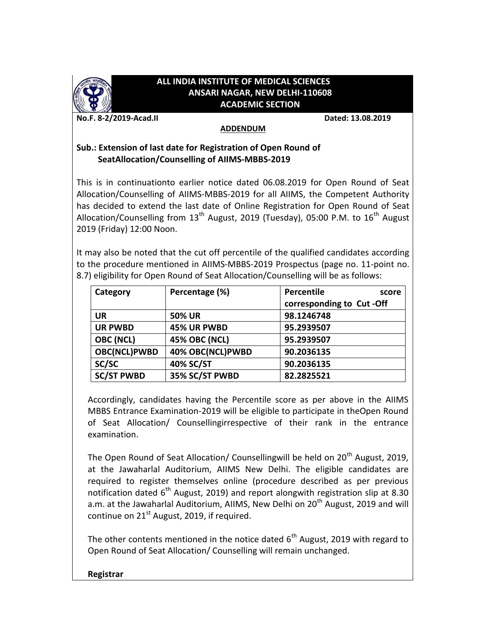

## **ALL INDIA INSTITUTE OF MEDICAL SCIENCES ANSARI NAGAR, NEW DELHI-110608 ACADEMIC SECTION**

**No.F. 8-2/2019-Acad.II Dated: 13.08.2019**

## **ADDENDUM**

## **Sub.: Extension of last date for Registration of Open Round of SeatAllocation/Counselling of AIIMS-MBBS-2019**

This is in continuationto earlier notice dated 06.08.2019 for Open Round of Seat Allocation/Counselling of AIIMS-MBBS-2019 for all AIIMS, the Competent Authority has decided to extend the last date of Online Registration for Open Round of Seat Allocation/Counselling from  $13<sup>th</sup>$  August, 2019 (Tuesday), 05:00 P.M. to  $16<sup>th</sup>$  August 2019 (Friday) 12:00 Noon.

It may also be noted that the cut off percentile of the qualified candidates according to the procedure mentioned in AIIMS-MBBS-2019 Prospectus (page no. 11-point no. 8.7) eligibility for Open Round of Seat Allocation/Counselling will be as follows:

| Category            | Percentage (%)       | Percentile<br>score      |
|---------------------|----------------------|--------------------------|
|                     |                      | corresponding to Cut-Off |
| UR                  | <b>50% UR</b>        | 98.1246748               |
| <b>UR PWBD</b>      | 45% UR PWBD          | 95.2939507               |
| <b>OBC (NCL)</b>    | <b>45% OBC (NCL)</b> | 95.2939507               |
| <b>OBC(NCL)PWBD</b> | 40% OBC(NCL)PWBD     | 90.2036135               |
| SC/SC               | 40% SC/ST            | 90.2036135               |
| <b>SC/ST PWBD</b>   | 35% SC/ST PWBD       | 82.2825521               |

Accordingly, candidates having the Percentile score as per above in the AIIMS MBBS Entrance Examination-2019 will be eligible to participate in theOpen Round of Seat Allocation/ Counsellingirrespective of their rank in the entrance examination.

The Open Round of Seat Allocation/ Counsellingwill be held on 20<sup>th</sup> August, 2019, at the Jawaharlal Auditorium, AIIMS New Delhi. The eligible candidates are required to register themselves online (procedure described as per previous notification dated  $6<sup>th</sup>$  August, 2019) and report alongwith registration slip at 8.30 a.m. at the Jawaharlal Auditorium, AIIMS, New Delhi on  $20<sup>th</sup>$  August, 2019 and will continue on  $21^{st}$  August, 2019, if required.

The other contents mentioned in the notice dated  $6<sup>th</sup>$  August, 2019 with regard to Open Round of Seat Allocation/ Counselling will remain unchanged.

## **Registrar**